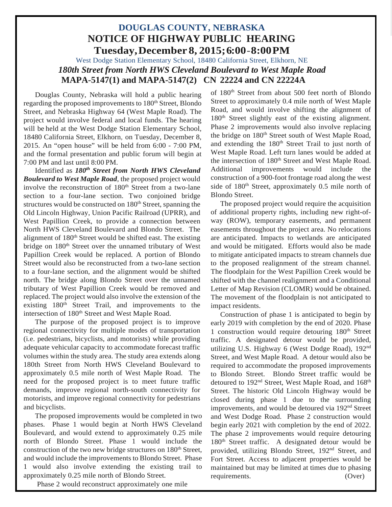# **DOUGLAS COUNTY, NEBRASKA NOTICE OF HIGHWAY PUBLIC HEARING Tuesday,December 8, 2015;6:00-8:00PM**

West Dodge Station Elementary School, 18480 California Street, Elkhorn, NE *180th Street from North HWS Cleveland Boulevard to West Maple Road* **MAPA-5147(1) and MAPA-5147(2) CN 22224 and CN 22224A**

Douglas County, Nebraska will hold a public hearing regarding the proposed improvements to 180<sup>th</sup> Street, Blondo Street, and Nebraska Highway 64 (West Maple Road). The project would involve federal and local funds. The hearing will be held at the West Dodge Station Elementary School, 18480 California Street, Elkhorn, on Tuesday, December 8, 2015. An "open house" will be held from 6:00 - 7:00 PM, and the formal presentation and public forum will begin at 7:00 PM and last until 8:00 PM.

Identified as *180th Street from North HWS Cleveland Boulevard to West Maple Road*, the proposed project would involve the reconstruction of 180<sup>th</sup> Street from a two-lane section to a four-lane section. Two conjoined bridge structures would be constructed on 180<sup>th</sup> Street, spanning the Old Lincoln Highway, Union Pacific Railroad (UPRR), and West Papillion Creek, to provide a connection between North HWS Cleveland Boulevard and Blondo Street. The alignment of 180<sup>th</sup> Street would be shifted east. The existing bridge on 180<sup>th</sup> Street over the unnamed tributary of West Papillion Creek would be replaced. A portion of Blondo Street would also be reconstructed from a two-lane section to a four-lane section, and the alignment would be shifted north. The bridge along Blondo Street over the unnamed tributary of West Papillion Creek would be removed and replaced. The project would also involve the extension of the existing 180<sup>th</sup> Street Trail, and improvements to the intersection of 180<sup>th</sup> Street and West Maple Road.

The purpose of the proposed project is to improve regional connectivity for multiple modes of transportation (i.e. pedestrians, bicyclists, and motorists) while providing adequate vehicular capacity to accommodate forecast traffic volumes within the study area. The study area extends along 180th Street from North HWS Cleveland Boulevard to approximately 0.5 mile north of West Maple Road. The need for the proposed project is to meet future traffic demands, improve regional north-south connectivity for motorists, and improve regional connectivity for pedestrians and bicyclists.

The proposed improvements would be completed in two phases. Phase 1 would begin at North HWS Cleveland Boulevard, and would extend to approximately 0.25 mile north of Blondo Street. Phase 1 would include the construction of the two new bridge structures on 180<sup>th</sup> Street, and would include the improvements to Blondo Street. Phase 1 would also involve extending the existing trail to approximately 0.25 mile north of Blondo Street.

Phase 2 would reconstruct approximately one mile

of 180th Street from about 500 feet north of Blondo Street to approximately 0.4 mile north of West Maple Road, and would involve shifting the alignment of 180th Street slightly east of the existing alignment. Phase 2 improvements would also involve replacing the bridge on 180<sup>th</sup> Street south of West Maple Road, and extending the 180<sup>th</sup> Street Trail to just north of West Maple Road. Left turn lanes would be added at the intersection of 180<sup>th</sup> Street and West Maple Road. Additional improvements would include the construction of a 900-foot frontage road along the west side of 180<sup>th</sup> Street, approximately 0.5 mile north of Blondo Street.

The proposed project would require the acquisition of additional property rights, including new right-ofway (ROW), temporary easements, and permanent easements throughout the project area. No relocations are anticipated. Impacts to wetlands are anticipated and would be mitigated. Efforts would also be made to mitigate anticipated impacts to stream channels due to the proposed realignment of the stream channel. The floodplain for the West Papillion Creek would be shifted with the channel realignment and a Conditional Letter of Map Revision (CLOMR) would be obtained. The movement of the floodplain is not anticipated to impact residents.

Construction of phase 1 is anticipated to begin by early 2019 with completion by the end of 2020. Phase 1 construction would require detouring 180<sup>th</sup> Street traffic. A designated detour would be provided, utilizing U.S. Highway 6 (West Dodge Road), 192nd Street, and West Maple Road. A detour would also be required to accommodate the proposed improvements to Blondo Street. Blondo Street traffic would be detoured to 192<sup>nd</sup> Street, West Maple Road, and 168<sup>th</sup> Street. The historic Old Lincoln Highway would be closed during phase 1 due to the surrounding improvements, and would be detoured via 192nd Street and West Dodge Road. Phase 2 construction would begin early 2021 with completion by the end of 2022. The phase 2 improvements would require detouring 180<sup>th</sup> Street traffic. A designated detour would be provided, utilizing Blondo Street, 192<sup>nd</sup> Street, and Fort Street. Access to adjacent properties would be maintained but may be limited at times due to phasing requirements. (Over)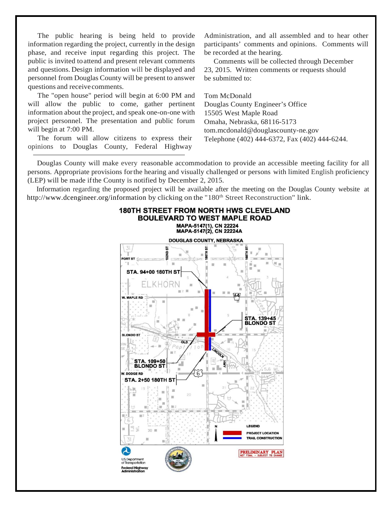The public hearing is being held to provide information regarding the project, currently in the design phase, and receive input regarding this project. The public is invited toattend and present relevant comments and questions. Design information will be displayed and personnel from Douglas County will be present to answer questions and receive comments.

The "open house" period will begin at 6:00 PM and will allow the public to come, gather pertinent information about the project, and speak one-on-one with project personnel. The presentation and public forum will begin at 7:00 PM.

The forum will allow citizens to express their opinions to Douglas County, Federal Highway Administration, and all assembled and to hear other participants' comments and opinions. Comments will be recorded at the hearing.

Comments will be collected through December 23, 2015. Written comments or requests should be submitted to:

Tom McDonald Douglas County Engineer's Office 15505 West Maple Road Omaha, Nebraska, 68116-5173 tom.mcdonald@douglascounty-ne.gov Telephone (402) 444-6372, Fax (402) 444-6244.

Douglas County will make every reasonable accommodation to provide an accessible meeting facility for all persons. Appropriate provisions forthe hearing and visually challenged or persons with limited English proficiency (LEP) will be made ifthe County is notified by December 2, 2015.

Information regarding the proposed project will be available after the meeting on the Douglas County website at http://www.dcengineer.org/information by clicking on the "180<sup>th</sup> Street Reconstruction" link.

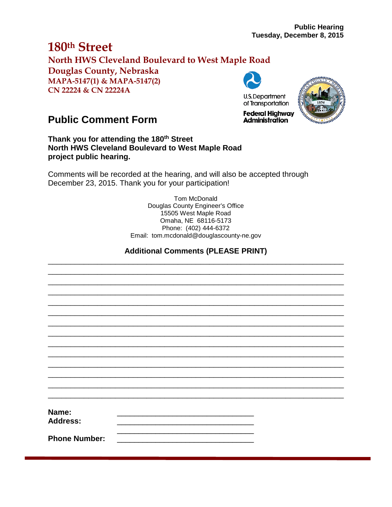# **180th Street North HWS Cleveland Boulevard to West Maple Road Douglas County, Nebraska MAPA-5147(1) & MAPA-5147(2) CN 22224 & CN 22224A**



# **Public Comment Form**

**Thank you for attending the 180th Street North HWS Cleveland Boulevard to West Maple Road project public hearing.**

Comments will be recorded at the hearing, and will also be accepted through December 23, 2015. Thank you for your participation!

> Tom McDonald Douglas County Engineer's Office 15505 West Maple Road Omaha, NE 68116-5173 Phone: (402) 444-6372 Email: tom.mcdonald@douglascounty-ne.gov

## **Additional Comments (PLEASE PRINT)** \_\_\_\_\_\_\_\_\_\_\_\_\_\_\_\_\_\_\_\_\_\_\_\_\_\_\_\_\_\_\_\_\_\_\_\_\_\_\_\_\_\_\_\_\_\_\_\_\_\_\_\_\_\_\_\_\_\_\_\_\_\_\_\_\_\_

\_\_\_\_\_\_\_\_\_\_\_\_\_\_\_\_\_\_\_\_\_\_\_\_\_\_\_\_\_\_\_\_\_\_\_\_\_\_\_\_\_\_\_\_\_\_\_\_\_\_\_\_\_\_\_\_\_\_\_\_\_\_\_\_\_\_ \_\_\_\_\_\_\_\_\_\_\_\_\_\_\_\_\_\_\_\_\_\_\_\_\_\_\_\_\_\_\_\_\_\_\_\_\_\_\_\_\_\_\_\_\_\_\_\_\_\_\_\_\_\_\_\_\_\_\_\_\_\_\_\_\_\_ \_\_\_\_\_\_\_\_\_\_\_\_\_\_\_\_\_\_\_\_\_\_\_\_\_\_\_\_\_\_\_\_\_\_\_\_\_\_\_\_\_\_\_\_\_\_\_\_\_\_\_\_\_\_\_\_\_\_\_\_\_\_\_\_\_\_ \_\_\_\_\_\_\_\_\_\_\_\_\_\_\_\_\_\_\_\_\_\_\_\_\_\_\_\_\_\_\_\_\_\_\_\_\_\_\_\_\_\_\_\_\_\_\_\_\_\_\_\_\_\_\_\_\_\_\_\_\_\_\_\_\_\_ \_\_\_\_\_\_\_\_\_\_\_\_\_\_\_\_\_\_\_\_\_\_\_\_\_\_\_\_\_\_\_\_\_\_\_\_\_\_\_\_\_\_\_\_\_\_\_\_\_\_\_\_\_\_\_\_\_\_\_\_\_\_\_\_\_\_ \_\_\_\_\_\_\_\_\_\_\_\_\_\_\_\_\_\_\_\_\_\_\_\_\_\_\_\_\_\_\_\_\_\_\_\_\_\_\_\_\_\_\_\_\_\_\_\_\_\_\_\_\_\_\_\_\_\_\_\_\_\_\_\_\_\_ \_\_\_\_\_\_\_\_\_\_\_\_\_\_\_\_\_\_\_\_\_\_\_\_\_\_\_\_\_\_\_\_\_\_\_\_\_\_\_\_\_\_\_\_\_\_\_\_\_\_\_\_\_\_\_\_\_\_\_\_\_\_\_\_\_\_ \_\_\_\_\_\_\_\_\_\_\_\_\_\_\_\_\_\_\_\_\_\_\_\_\_\_\_\_\_\_\_\_\_\_\_\_\_\_\_\_\_\_\_\_\_\_\_\_\_\_\_\_\_\_\_\_\_\_\_\_\_\_\_\_\_\_ \_\_\_\_\_\_\_\_\_\_\_\_\_\_\_\_\_\_\_\_\_\_\_\_\_\_\_\_\_\_\_\_\_\_\_\_\_\_\_\_\_\_\_\_\_\_\_\_\_\_\_\_\_\_\_\_\_\_\_\_\_\_\_\_\_\_ \_\_\_\_\_\_\_\_\_\_\_\_\_\_\_\_\_\_\_\_\_\_\_\_\_\_\_\_\_\_\_\_\_\_\_\_\_\_\_\_\_\_\_\_\_\_\_\_\_\_\_\_\_\_\_\_\_\_\_\_\_\_\_\_\_\_ \_\_\_\_\_\_\_\_\_\_\_\_\_\_\_\_\_\_\_\_\_\_\_\_\_\_\_\_\_\_\_\_\_\_\_\_\_\_\_\_\_\_\_\_\_\_\_\_\_\_\_\_\_\_\_\_\_\_\_\_\_\_\_\_\_\_ \_\_\_\_\_\_\_\_\_\_\_\_\_\_\_\_\_\_\_\_\_\_\_\_\_\_\_\_\_\_\_\_\_\_\_\_\_\_\_\_\_\_\_\_\_\_\_\_\_\_\_\_\_\_\_\_\_\_\_\_\_\_\_\_\_\_ \_\_\_\_\_\_\_\_\_\_\_\_\_\_\_\_\_\_\_\_\_\_\_\_\_\_\_\_\_\_\_\_\_\_\_\_\_\_\_\_\_\_\_\_\_\_\_\_\_\_\_\_\_\_\_\_\_\_\_\_\_\_\_\_\_\_

**Name:** \_\_\_\_\_\_\_\_\_\_\_\_\_\_\_\_\_\_\_\_\_\_\_\_\_\_\_\_\_\_\_\_ Address:  $\overline{\phantom{a}}$  ,  $\overline{\phantom{a}}$  ,  $\overline{\phantom{a}}$  ,  $\overline{\phantom{a}}$  ,  $\overline{\phantom{a}}$  ,  $\overline{\phantom{a}}$  ,  $\overline{\phantom{a}}$  ,  $\overline{\phantom{a}}$  ,  $\overline{\phantom{a}}$  ,  $\overline{\phantom{a}}$  ,  $\overline{\phantom{a}}$  ,  $\overline{\phantom{a}}$  ,  $\overline{\phantom{a}}$  ,  $\overline{\phantom{a}}$  ,  $\overline{\phantom{a}}$  ,  $\overline{\phantom{a}}$ 

**Phone Number:**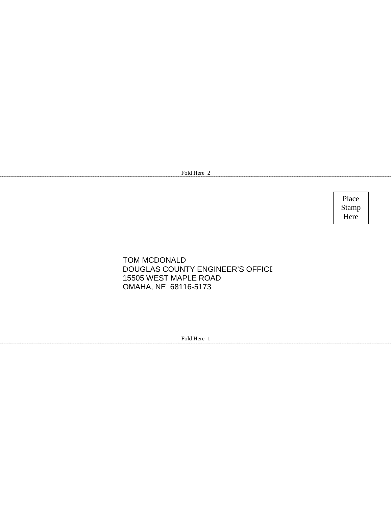Fold Here 2

Place Stamp Here

### TOM MCDONALD DOUGLAS COUNTY ENGINEER'S OFFICE 15505 WEST MAPLE ROAD OMAHA, NE 68116-5173

Fold Here 1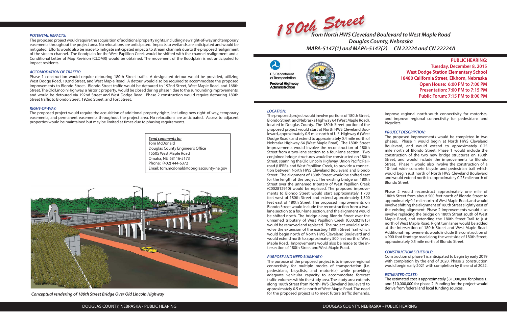#### **LOCATION:**

The proposed project would involve portions of 180th Street, Blondo Street, and Nebraska Highway 64 (West Maple Road), located in Douglas County. The 180th Street portion of the proposed project would start at North HWS Cleveland Boulevard, approximately 0.5 mile north of U.S. Highway 6 (West Dodge Road), and extend to approximately 0.4 mile north of Nebraska Highway 64 (West Maple Road). The 180th Street improvements would involve the reconstruction of 180th Street from a two-lane section to a four-lane section. Two conjoined bridge structures would be constructed on 180th Street, spanning the Old Lincoln Highway, Union Pacific Railroad (UPRR), and West Papillion Creek, to provide a connection between North HWS Cleveland Boulevard and Blondo Street. The alignment of 180th Street would be shifted east for the length of the project. The existing bridge on 180th Street over the unnamed tributary of West Papillion Creek (C002812910) would be replaced. The proposed improvements to Blondo Street would start approximately 1,700 feet west of 180th Street and extend approximately 1,300 feet east of 180th Street. The proposed improvements on Blondo Street would include the reconstruction from a twolane section to a four-lane section, and the alignment would be shifted north. The bridge along Blondo Street over the unnamed tributary of West Papillion Creek (C002821815) would be removed and replaced. The project would also involve the extension of the existing 180th Street Trail which would begin north of North HWS Cleveland Boulevard and would extend north to approximately 500 feet north of West Maple Road. Improvements would also be made to the intersection of 180th Street and West Maple Road.

The purpose of the proposed project is to improve regional connectivity for multiple modes of transportation (i.e. pedestrians, bicyclists, and motorists) while providing adequate vehicular capacity to accommodate forecast traffic volumes within the study area. The study area extends along 180th Street from North HWS Cleveland Boulevard to approximately 0.5 mile north of West Maple Road. The need for the proposed project is to meet future traffic demands,

#### **PURPOSE AND NEED SUMMARY:**

#### **POTENTIAL IMPACTS:**

The proposed project would require the acquisition of additional property rights, including new right-of-way and temporary easements throughout the project area. No relocations are anticipated. Impacts to wetlands are anticipated and would be mitigated. Efforts would also be made to mitigate anticipated impacts to stream channels due to the proposed realignment of the stream channel. The floodplain for the West Papillion Creek would be shifted with the channel realignment and a Conditional Letter of Map Revision (CLOMR) would be obtained. The movement of the floodplain is not anticipated to impact residents.

#### **ACCOMODATION OF TRAFFIC:**

Phase 1 construction would require detouring 180th Street traffic. A designated detour would be provided, utilizing West Dodge Road, 192nd Street, and West Maple Road. A detour would also be required to accommodate the proposed improvements to Blondo Street. Blondo Street traffic would be detoured to 192nd Street, West Maple Road, and 168th Street. The Old Lincoln Highway, a historic property, would be closed during phase 1 due to the surrounding improvements, and would be detoured via 192nd Street and West Dodge Road. Phase 2 construction would require detouring 180th Street traffic to Blondo Street, 192nd Street, and Fort Street.

#### **RIGHT-OF-WAY:**

The proposed project would require the acquisition of additional property rights, including new right-of-way, temporary easements, and permanent easements throughout the project area. No relocations are anticipated. Access to adjacent properties would be maintained but may be limited at times due to phasing requirements.

**PUBLIC HEARING: Tuesday, December 8, 2015 West Dodge Station Elementary School 18480 California Street, Elkhorn, Nebraska Open House: 6:00 PM to 7:00 PM Presentation: 7:00 PM to 7:15 PM Public Forum: 7:15 PM to 8:00 PM**







improve regional north-south connectivity for motorists, and improve regional connectivity for pedestrians and bicyclists.

#### **PROJECT DESCRIPTION:**

The proposed improvements would be completed in two phases. Phase 1 would begin at North HWS Cleveland Boulevard, and would extend to approximately 0.25 mile north of Blondo Street. Phase 1 would include the construction of the two new bridge structures on 180th Street, and would include the improvements to Blondo Street. Phase 1 would also involve the construction of a 10-foot wide concrete bicycle and pedestrian trail which would begin just north of North HWS Cleveland Boulevard and would extend north to approximately 0.25 mile north of Blondo Street.

Phase 2 would reconstruct approximately one mile of 180th Street from about 500 feet north of Blondo Street to approximately 0.4 mile north of West Maple Road, and would involve shifting the alignment of 180th Street slightly east of the existing alignment. Phase 2 improvements would also involve replacing the bridge on 180th Street south of West Maple Road, and extending the 180th Street Trail to just north of West Maple Road. Right turn lanes would be added at the intersection of 180th Street and West Maple Road. Additional improvements would include the construction of a 900-foot frontage road along the west side of 180th Street, approximately 0.5 mile north of Blondo Street.

#### **CONSTRUCTION SCHEDULE:**

Construction of phase 1 is anticipated to begin by early 2019 with completion by the end of 2020. Phase 2 construction would begin early 2021 with completion by the end of 2022.

#### **ESTIMATED COSTS:**

The estimated cost is approximately \$31,000,000 for phase 1, and \$10,000,000 for phase 2. Funding for the project would derive from federal and local funding sources.



**Conceptual rendering of 180th Street Bridge Over Old Lincoln Highway**

**Send comments to:** Tom McDonald Douglas County Engineer's Office 15505 West Maple Road Omaha, NE 68116-5173 Phone: (402) 444-6372 Email: tom.mcdonald@douglascounty-ne.gov